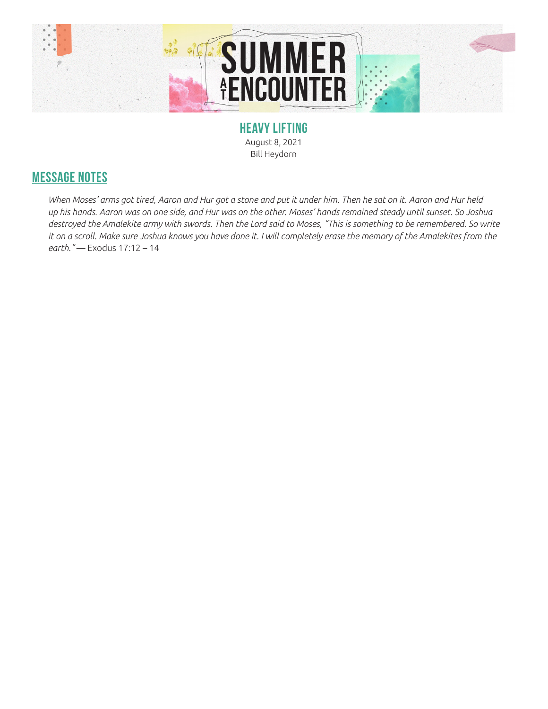

**HEAVY LIFTING** August 8, 2021 Bill Heydorn

## **MESSAGE NOTES**

*When Moses' arms got tired, Aaron and Hur got a stone and put it under him. Then he sat on it. Aaron and Hur held up his hands. Aaron was on one side, and Hur was on the other. Moses' hands remained steady until sunset. So Joshua destroyed the Amalekite army with swords. Then the Lord said to Moses, "This is something to be remembered. So write it on a scroll. Make sure Joshua knows you have done it. I will completely erase the memory of the Amalekites from the earth."* — Exodus 17:12 – 14